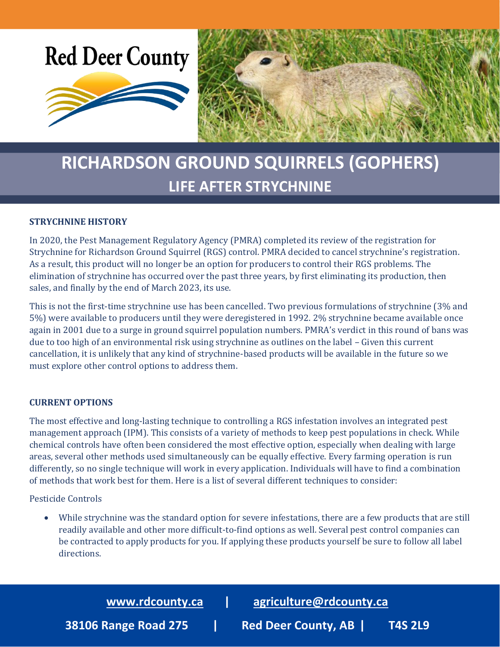

# **RICHARDSON GROUND SQUIRRELS (GOPHERS) LIFE AFTER STRYCHNINE**

## **STRYCHNINE HISTORY**

In 2020, the Pest Management Regulatory Agency (PMRA) completed its review of the registration for Strychnine for Richardson Ground Squirrel (RGS) control. PMRA decided to cancel strychnine's registration. As a result, this product will no longer be an option for producers to control their RGS problems. The elimination of strychnine has occurred over the past three years, by first eliminating its production, then sales, and finally by the end of March 2023, its use.

This is not the first-time strychnine use has been cancelled. Two previous formulations of strychnine (3% and 5%) were available to producers until they were deregistered in 1992. 2% strychnine became available once again in 2001 due to a surge in ground squirrel population numbers. PMRA's verdict in this round of bans was due to too high of an environmental risk using strychnine as outlines on the label – Given this current cancellation, it is unlikely that any kind of strychnine-based products will be available in the future so we must explore other control options to address them.

### **CURRENT OPTIONS**

The most effective and long-lasting technique to controlling a RGS infestation involves an integrated pest management approach (IPM). This consists of a variety of methods to keep pest populations in check. While chemical controls have often been considered the most effective option, especially when dealing with large areas, several other methods used simultaneously can be equally effective. Every farming operation is run differently, so no single technique will work in every application. Individuals will have to find a combination of methods that work best for them. Here is a list of several different techniques to consider:

Pesticide Controls

• While strychnine was the standard option for severe infestations, there are a few products that are still readily available and other more difficult-to-find options as well. Several pest control companies can be contracted to apply products for you. If applying these products yourself be sure to follow all label directions.

**[www.rdcounty.ca](http://www.rdcounty.ca/) | [agriculture@rdcounty.ca](mailto:agriculture@rdcounty.ca) 38106 Range Road 275 | Red Deer County, AB | T4S 2L9**